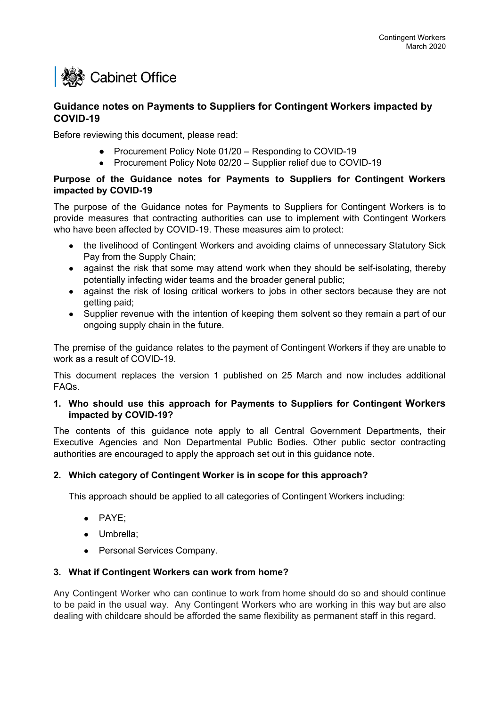# **I ※※ Cabinet Office**

# **Guidance notes on Payments to Suppliers for Contingent Workers impacted by COVID-19**

Before reviewing this document, please read:

- Procurement Policy Note 01/20 Responding to COVID-19
- Procurement Policy Note 02/20 Supplier relief due to COVID-19

## **Purpose of the Guidance notes for Payments to Suppliers for Contingent Workers impacted by COVID-19**

The purpose of the Guidance notes for Payments to Suppliers for Contingent Workers is to provide measures that contracting authorities can use to implement with Contingent Workers who have been affected by COVID-19. These measures aim to protect:

- the livelihood of Contingent Workers and avoiding claims of unnecessary Statutory Sick Pay from the Supply Chain;
- against the risk that some may attend work when they should be self-isolating, thereby potentially infecting wider teams and the broader general public;
- against the risk of losing critical workers to jobs in other sectors because they are not getting paid;
- Supplier revenue with the intention of keeping them solvent so they remain a part of our ongoing supply chain in the future.

The premise of the guidance relates to the payment of Contingent Workers if they are unable to work as a result of COVID-19.

This document replaces the version 1 published on 25 March and now includes additional FAQs.

## **1. Who should use this approach for Payments to Suppliers for Contingent Workers impacted by COVID-19?**

The contents of this guidance note apply to all Central Government Departments, their Executive Agencies and Non Departmental Public Bodies. Other public sector contracting authorities are encouraged to apply the approach set out in this guidance note.

# **2. Which category of Contingent Worker is in scope for this approach?**

This approach should be applied to all categories of Contingent Workers including:

- PAYE;
- Umbrella;
- Personal Services Company.

#### **3. What if Contingent Workers can work from home?**

Any Contingent Worker who can continue to work from home should do so and should continue to be paid in the usual way. Any Contingent Workers who are working in this way but are also dealing with childcare should be afforded the same flexibility as permanent staff in this regard.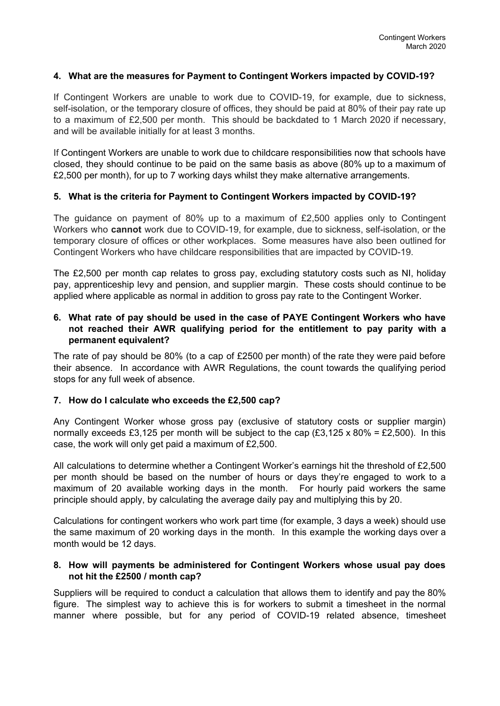#### **4. What are the measures for Payment to Contingent Workers impacted by COVID-19?**

If Contingent Workers are unable to work due to COVID-19, for example, due to sickness, self-isolation, or the temporary closure of offices, they should be paid at 80% of their pay rate up to a maximum of £2,500 per month. This should be backdated to 1 March 2020 if necessary, and will be available initially for at least 3 months.

If Contingent Workers are unable to work due to childcare responsibilities now that schools have closed, they should continue to be paid on the same basis as above (80% up to a maximum of £2,500 per month), for up to 7 working days whilst they make alternative arrangements.

#### **5. What is the criteria for Payment to Contingent Workers impacted by COVID-19?**

The guidance on payment of 80% up to a maximum of £2,500 applies only to Contingent Workers who **cannot** work due to COVID-19, for example, due to sickness, self-isolation, or the temporary closure of offices or other workplaces. Some measures have also been outlined for Contingent Workers who have childcare responsibilities that are impacted by COVID-19.

The £2,500 per month cap relates to gross pay, excluding statutory costs such as NI, holiday pay, apprenticeship levy and pension, and supplier margin. These costs should continue to be applied where applicable as normal in addition to gross pay rate to the Contingent Worker.

#### **6. What rate of pay should be used in the case of PAYE Contingent Workers who have not reached their AWR qualifying period for the entitlement to pay parity with a permanent equivalent?**

The rate of pay should be 80% (to a cap of £2500 per month) of the rate they were paid before their absence. In accordance with AWR Regulations, the count towards the qualifying period stops for any full week of absence.

#### **7. How do I calculate who exceeds the £2,500 cap?**

Any Contingent Worker whose gross pay (exclusive of statutory costs or supplier margin) normally exceeds £3,125 per month will be subject to the cap  $(E3,125 \times 80\%) = E2,500$ ). In this case, the work will only get paid a maximum of £2,500.

All calculations to determine whether a Contingent Worker's earnings hit the threshold of £2,500 per month should be based on the number of hours or days they're engaged to work to a maximum of 20 available working days in the month. For hourly paid workers the same principle should apply, by calculating the average daily pay and multiplying this by 20.

Calculations for contingent workers who work part time (for example, 3 days a week) should use the same maximum of 20 working days in the month. In this example the working days over a month would be 12 days.

#### **8. How will payments be administered for Contingent Workers whose usual pay does not hit the £2500 / month cap?**

Suppliers will be required to conduct a calculation that allows them to identify and pay the 80% figure. The simplest way to achieve this is for workers to submit a timesheet in the normal manner where possible, but for any period of COVID-19 related absence, timesheet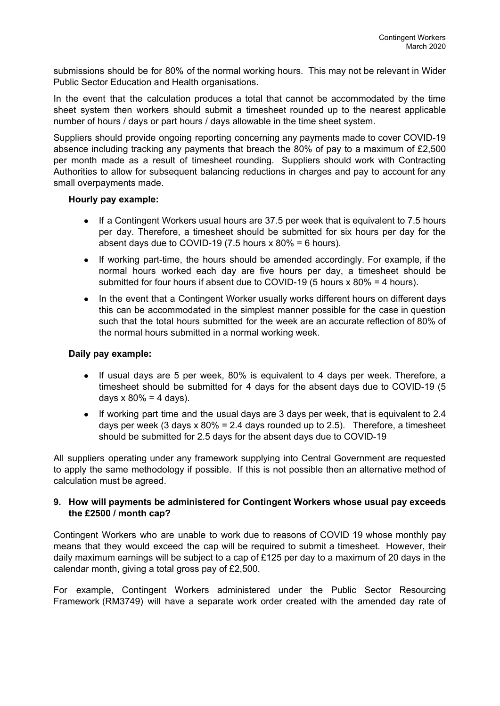submissions should be for 80% of the normal working hours. This may not be relevant in Wider Public Sector Education and Health organisations.

In the event that the calculation produces a total that cannot be accommodated by the time sheet system then workers should submit a timesheet rounded up to the nearest applicable number of hours / days or part hours / days allowable in the time sheet system.

Suppliers should provide ongoing reporting concerning any payments made to cover COVID-19 absence including tracking any payments that breach the 80% of pay to a maximum of £2,500 per month made as a result of timesheet rounding. Suppliers should work with Contracting Authorities to allow for subsequent balancing reductions in charges and pay to account for any small overpayments made.

#### **Hourly pay example:**

- If a Contingent Workers usual hours are 37.5 per week that is equivalent to 7.5 hours per day. Therefore, a timesheet should be submitted for six hours per day for the absent days due to COVID-19 (7.5 hours  $x$  80% = 6 hours).
- If working part-time, the hours should be amended accordingly. For example, if the normal hours worked each day are five hours per day, a timesheet should be submitted for four hours if absent due to COVID-19 (5 hours  $x$  80% = 4 hours).
- In the event that a Contingent Worker usually works different hours on different days this can be accommodated in the simplest manner possible for the case in question such that the total hours submitted for the week are an accurate reflection of 80% of the normal hours submitted in a normal working week.

#### **Daily pay example:**

- If usual days are 5 per week, 80% is equivalent to 4 days per week. Therefore, a timesheet should be submitted for 4 days for the absent days due to COVID-19 (5 days  $x 80\% = 4$  days).
- If working part time and the usual days are 3 days per week, that is equivalent to 2.4 days per week (3 days  $x$  80% = 2.4 days rounded up to 2.5). Therefore, a timesheet should be submitted for 2.5 days for the absent days due to COVID-19

All suppliers operating under any framework supplying into Central Government are requested to apply the same methodology if possible. If this is not possible then an alternative method of calculation must be agreed.

#### **9. How will payments be administered for Contingent Workers whose usual pay exceeds the £2500 / month cap?**

Contingent Workers who are unable to work due to reasons of COVID 19 whose monthly pay means that they would exceed the cap will be required to submit a timesheet. However, their daily maximum earnings will be subject to a cap of £125 per day to a maximum of 20 days in the calendar month, giving a total gross pay of £2,500.

For example, Contingent Workers administered under the Public Sector Resourcing Framework (RM3749) will have a separate work order created with the amended day rate of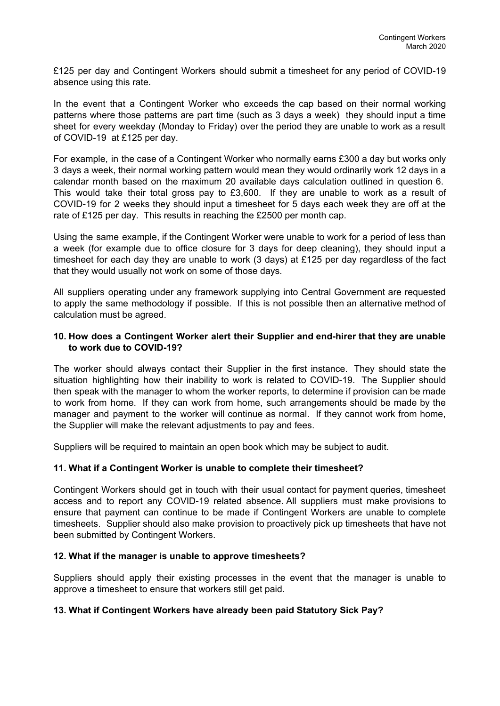£125 per day and Contingent Workers should submit a timesheet for any period of COVID-19 absence using this rate.

In the event that a Contingent Worker who exceeds the cap based on their normal working patterns where those patterns are part time (such as 3 days a week) they should input a time sheet for every weekday (Monday to Friday) over the period they are unable to work as a result of COVID-19 at £125 per day.

For example, in the case of a Contingent Worker who normally earns £300 a day but works only 3 days a week, their normal working pattern would mean they would ordinarily work 12 days in a calendar month based on the maximum 20 available days calculation outlined in question 6. This would take their total gross pay to £3,600. If they are unable to work as a result of COVID-19 for 2 weeks they should input a timesheet for 5 days each week they are off at the rate of £125 per day. This results in reaching the £2500 per month cap.

Using the same example, if the Contingent Worker were unable to work for a period of less than a week (for example due to office closure for 3 days for deep cleaning), they should input a timesheet for each day they are unable to work (3 days) at £125 per day regardless of the fact that they would usually not work on some of those days.

All suppliers operating under any framework supplying into Central Government are requested to apply the same methodology if possible. If this is not possible then an alternative method of calculation must be agreed.

#### **10. How does a Contingent Worker alert their Supplier and end-hirer that they are unable to work due to COVID-19?**

The worker should always contact their Supplier in the first instance. They should state the situation highlighting how their inability to work is related to COVID-19. The Supplier should then speak with the manager to whom the worker reports, to determine if provision can be made to work from home. If they can work from home, such arrangements should be made by the manager and payment to the worker will continue as normal. If they cannot work from home, the Supplier will make the relevant adjustments to pay and fees.

Suppliers will be required to maintain an open book which may be subject to audit.

#### **11. What if a Contingent Worker is unable to complete their timesheet?**

Contingent Workers should get in touch with their usual contact for payment queries, timesheet access and to report any COVID-19 related absence. All suppliers must make provisions to ensure that payment can continue to be made if Contingent Workers are unable to complete timesheets. Supplier should also make provision to proactively pick up timesheets that have not been submitted by Contingent Workers.

#### **12. What if the manager is unable to approve timesheets?**

Suppliers should apply their existing processes in the event that the manager is unable to approve a timesheet to ensure that workers still get paid.

#### **13. What if Contingent Workers have already been paid Statutory Sick Pay?**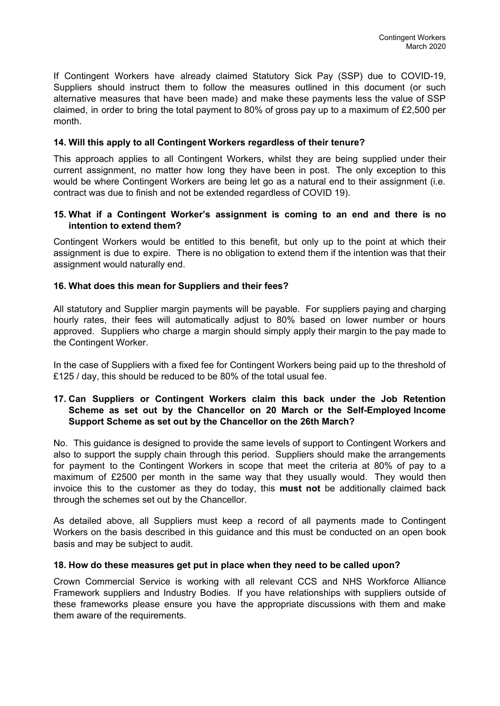If Contingent Workers have already claimed Statutory Sick Pay (SSP) due to COVID-19, Suppliers should instruct them to follow the measures outlined in this document (or such alternative measures that have been made) and make these payments less the value of SSP claimed, in order to bring the total payment to 80% of gross pay up to a maximum of £2,500 per month.

#### **14. Will this apply to all Contingent Workers regardless of their tenure?**

This approach applies to all Contingent Workers, whilst they are being supplied under their current assignment, no matter how long they have been in post. The only exception to this would be where Contingent Workers are being let go as a natural end to their assignment (i.e. contract was due to finish and not be extended regardless of COVID 19).

#### **15. What if a Contingent Worker's assignment is coming to an end and there is no intention to extend them?**

Contingent Workers would be entitled to this benefit, but only up to the point at which their assignment is due to expire. There is no obligation to extend them if the intention was that their assignment would naturally end.

## **16. What does this mean for Suppliers and their fees?**

All statutory and Supplier margin payments will be payable. For suppliers paying and charging hourly rates, their fees will automatically adjust to 80% based on lower number or hours approved. Suppliers who charge a margin should simply apply their margin to the pay made to the Contingent Worker.

In the case of Suppliers with a fixed fee for Contingent Workers being paid up to the threshold of £125 / day, this should be reduced to be 80% of the total usual fee.

#### **17. Can Suppliers or Contingent Workers claim this back under the Job Retention Scheme as set out by the Chancellor on 20 March or the Self-Employed Income Support Scheme as set out by the Chancellor on the 26th March?**

No. This guidance is designed to provide the same levels of support to Contingent Workers and also to support the supply chain through this period. Suppliers should make the arrangements for payment to the Contingent Workers in scope that meet the criteria at 80% of pay to a maximum of £2500 per month in the same way that they usually would. They would then invoice this to the customer as they do today, this **must not** be additionally claimed back through the schemes set out by the Chancellor.

As detailed above, all Suppliers must keep a record of all payments made to Contingent Workers on the basis described in this guidance and this must be conducted on an open book basis and may be subject to audit.

#### **18. How do these measures get put in place when they need to be called upon?**

Crown Commercial Service is working with all relevant CCS and NHS Workforce Alliance Framework suppliers and Industry Bodies. If you have relationships with suppliers outside of these frameworks please ensure you have the appropriate discussions with them and make them aware of the requirements.